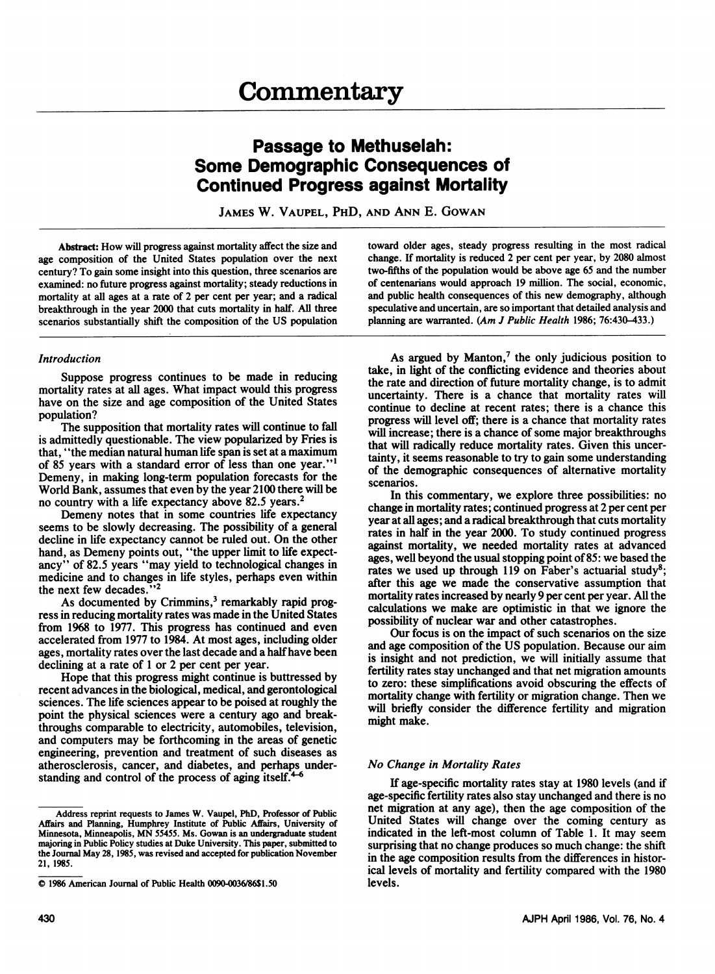# Passage to Methuselah: Some Demographic Consequences of Continued Progress against Mortality

JAMES W. VAUPEL, PHD, AND ANN E. GOWAN

Abstract: How will progress against mortality affect the size and age composition of the United States population over the next century? To gain some insight into this question, three scenarios are examined: no future progress against mortality; steady reductions in mortality at all ages at a rate of 2 per cent per year; and a radical breakthrough in the year 2000 that cuts mortality in half. All three scenarios substantially shift the composition of the US population

## Introduction

Suppose progress continues to be made in reducing mortality rates at all ages. What impact would this progress have on the size and age composition of the United States population?

The supposition that mortality rates will continue to fall is admittedly questionable. The view popularized by Fries is that, "the median natural human life span is set at a maximum of 85 years with a standard error of less than one year."' Demeny, in making long-term population forecasts for the World Bank, assumes that even by the year 2100 there will be no country with a life expectancy above 82.5 years.<sup>2</sup>

Demeny notes that in some countries life expectancy seems to be slowly decreasing. The possibility of a general decline in life expectancy cannot be ruled out. On the other hand, as Demeny points out, "the upper limit to life expectancy" of 82.5 years "may yield to technological changes in medicine and to changes in life styles, perhaps even within the next few decades."<sup>2</sup>

As documented by Crimmins,<sup>3</sup> remarkably rapid progress in reducing mortality rates was made in the United States from 1968 to 1977. This progress has continued and even accelerated from 1977 to 1984. At most ages, including older ages, mortality rates over the last decade and a half have been declining at a rate of <sup>1</sup> or 2 per cent per year.

Hope that this progress might continue is buttressed by recent advances in the biological, medical, and gerontological sciences. The life sciences appear to be poised at roughly the point the physical sciences were a century ago and breakthroughs comparable to electricity, automobiles, television, and computers may be forthcoming in the areas of genetic engineering, prevention and treatment of such diseases as atherosclerosis, cancer, and diabetes, and perhaps understanding and control of the process of aging itself. $4-6$ 

toward older ages, steady progress resulting in the most radical change. If mortality is reduced 2 per cent per year, by 2080 almost two-fifths of the population would be above age 65 and the number of centenarians would approach 19 million. The social, economic, and public health consequences of this new demography, although speculative and uncertain, are so important that detailed analysis and planning are warranted. (Am J Public Health 1986; 76:430-433.)

As argued by Manton,<sup>7</sup> the only judicious position to take, in light of the confficting evidence and theories about the rate and direction of future mortality change, is to admit uncertainty. There is a chance that mortality rates will continue to decline at recent rates; there is a chance this progress will level off; there is a chance that mortality rates will increase; there is a chance of some major breakthroughs that will radically reduce mortality rates. Given this uncertainty, it seems reasonable to try to gain some understanding of the demographic consequences of alternative mortality scenarios.

In this commentary, we explore three possibilities: no change in mortality rates; continued progress at 2 per cent per year at all ages; and a radical breakthrough that cuts mortality rates in half in the year 2000. To study continued progress against mortality, we needed mortality rates at advanced ages, well beyond the usual stopping point of85: we based the rates we used up through 119 on Faber's actuarial study<sup>8</sup>; after this age we made the conservative assumption that mortality rates increased by nearly 9 per cent per year. All the calculations we make are optimistic in that we ignore the possibility of nuclear war and other catastrophes.

Our focus is on the impact of such scenarios on the size and age composition of the US population. Because our aim is insight and not prediction, we will initially assume that fertility rates stay unchanged and that net migration amounts to zero: these simplifications avoid obscuring the effects of mortality change with fertility or migration change. Then we will briefly consider the difference fertility and migration might make.

## No Change in Mortality Rates

If age-specific mortality rates stay at 1980 levels (and if age-specific fertility rates also stay unchanged and there is no net migration at any age), then the age composition of the United States will change over the coming century as indicated in the left-most column of Table 1. It may seem surprising that no change produces so much change: the shift in the age composition results from the differences in historical levels of mortality and fertility compared with the 1980 levels.

Address reprint requests to James W. Vaupel, PhD, Professor of Public Affairs and Planning, Humphrey Institute of Public Affairs, University of Minnesota, Minneapolis, MN 55455. Ms. Gowan is an undergraduate student majoring in Public Policy studies at Duke University. This paper, submitted to the Journal May 28, 1985, was revised and accepted for publication November 21, 1985.

<sup>0</sup> <sup>1986</sup> American Journal of Public Health 0090-0036/86\$1.50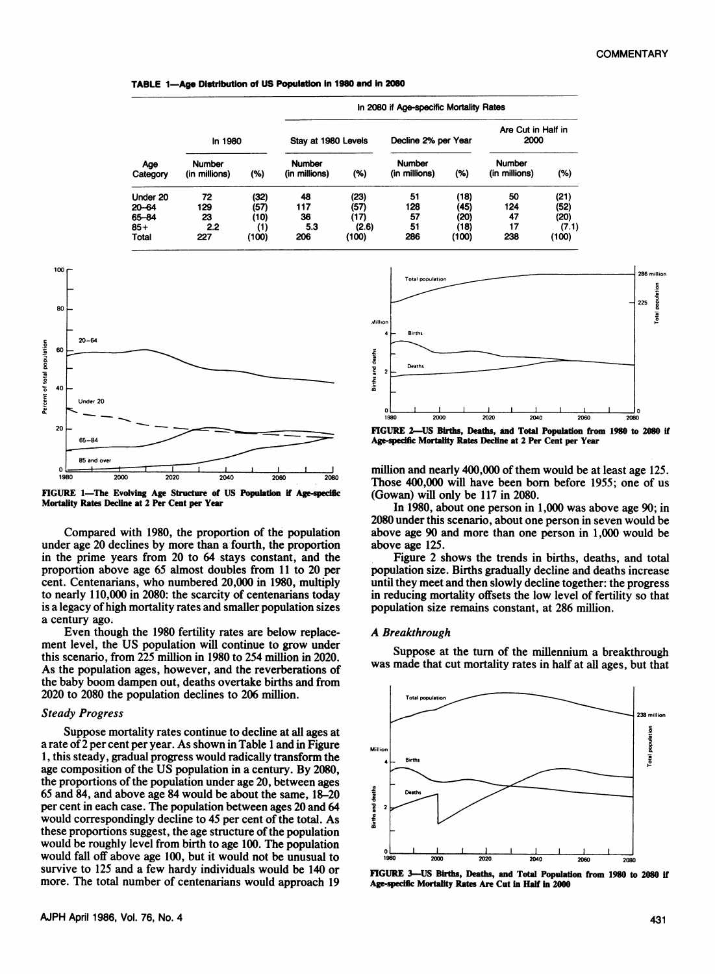TABLE 1-Age Distribution of US Population in 1980 and in 2080

| Age<br>Category |                                |       | In 2080 if Age-specific Mortality Rates |       |                                |       |                                |       |
|-----------------|--------------------------------|-------|-----------------------------------------|-------|--------------------------------|-------|--------------------------------|-------|
|                 | In 1980                        |       | Stay at 1980 Levels                     |       | Decline 2% per Year            |       | Are Cut in Half in<br>2000     |       |
|                 | <b>Number</b><br>(in millions) | (%)   | <b>Number</b><br>(in millions)          | (%)   | <b>Number</b><br>(in millions) | (%)   | <b>Number</b><br>(in millions) | (%)   |
| Under 20        | 72                             | (32)  | 48                                      | (23)  | 51                             | (18)  | 50                             | (21)  |
| $20 - 64$       | 129                            | (57)  | 117                                     | (57)  | 128                            | (45)  | 124                            | (52)  |
| 65-84           | 23                             | (10)  | 36                                      | (17)  | 57                             | (20)  | 47                             | (20)  |
| $85+$           | 2.2                            | (1)   | 5.3                                     | (2.6) | 51                             | (18)  | 17                             | (7.1) |
| Total           | 227                            | (100) | 206                                     | (100) | 286                            | (100) | 238                            | (100) |



FIGURE 1-The Evolving Age Structure of US Population if Age-specific Mortality Rates Decline at <sup>2</sup> Per Cent per Year

Compared with 1980, the proportion of the population under age 20 declines by more than a fourth, the proportion in the prime years from 20 to 64 stays constant, and the proportion above age 65 almost doubles from 11 to 20 per cent. Centenarians, who numbered 20,000 in 1980, multiply to nearly 110,000 in 2080: the scarcity of centenarians today is a legacy of high mortality rates and smaller population sizes a century ago.

Even though the 1980 fertility rates are below replacement level, the US population will continue to grow under this scenario, from 225 million in 1980 to 254 million in 2020. As the population ages, however, and the reverberations of the baby boom dampen out, deaths overtake births and from 2020 to 2080 the population declines to 206 million.

## Steady Progress

Suppose mortality rates continue to decline at all ages at a rate of 2 per cent per year. As shown in Table <sup>1</sup> and in Figure 1, this steady, gradual progress would radically transform the age composition of the US population in a century. By 2080, the proportions of the population under age 20, between ages 65 and 84, and above age 84 would be about the same, 18-20 per cent in each case. The population between ages 20 and 64 would correspondingly decline to 45 per cent of the total. As these proportions suggest, the age structure of the population would be roughly level from birth to age 100. The population would fall off above age 100, but it would not be unusual to survive to 125 and a few hardy individuals would be 140 or more. The total number of centenarians would approach 19



FIGURE 2-US Births, Deaths, and Total Population from 1980 to 2080 if Age-specific Mortality Rates Decline at 2 Per Cent per Year

million and nearly 400,000 of them would be at least age 125. Those 400,000 will have been born before 1955; one of us (Gowan) will only be 117 in 2080.

In 1980, about one person in 1,000 was above age 90; in 2080 under this scenario, about one person in seven would be above age 90 and more than one person in 1,000 would be above age 125.

Figure 2 shows the trends in births, deaths, and total population size. Births gradually decline and deaths increase until they meet and then slowly decline together: the progress in reducing mortality offsets the low level of fertility so that population size remains constant, at 286 million.

### A Breakthrough

Suppose at the turn of the millennium a breakthrough was made that cut mortality rates in half at all ages, but that



FIGURE 3-US Births, Deaths, and Total Populadon from 1980 to 2080 if Age-specific Mortality Rates Are Cut in Half in 2000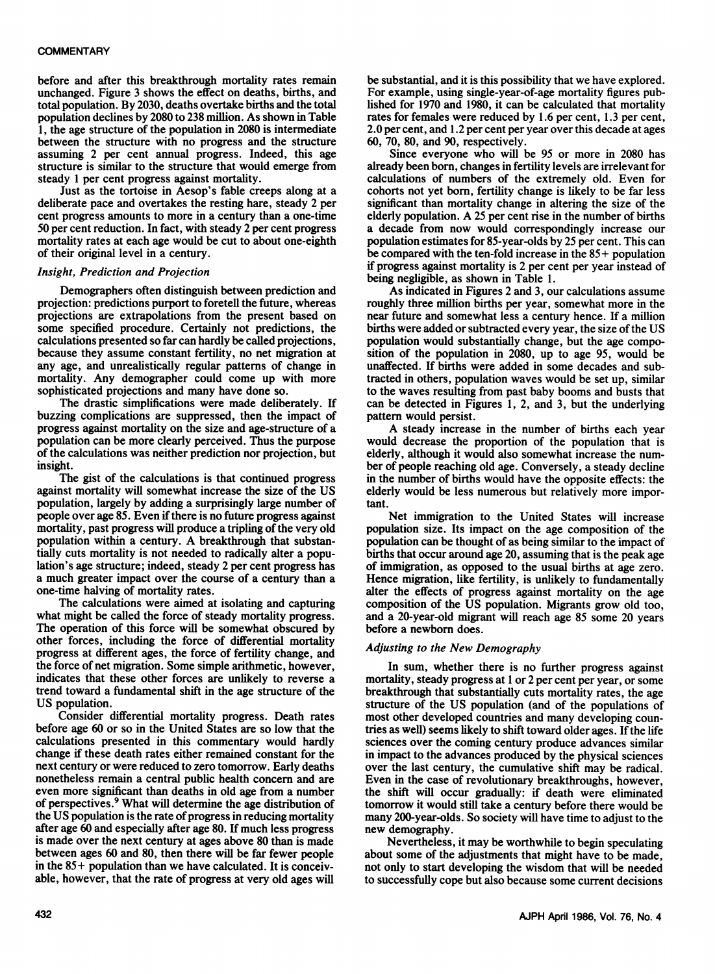before and after this breakthrough mortality rates remain unchanged. Figure <sup>3</sup> shows the effect on deaths, births, and total population. By 2030, deaths overtake births and the total population declines by 2080 to 238 million. As shown in Table 1, the age structure of the population in 2080 is intermediate between the structure with no progress and the structure assuming 2 per cent annual progress. Indeed, this age structure is similar to the structure that would emerge from steady <sup>1</sup> per cent progress against mortality.

Just as the tortoise in Aesop's fable creeps along at a deliberate pace and overtakes the resting hare, steady 2 per cent progress amounts to more in a century than a one-time 50 per cent reduction. In fact, with steady 2 per cent progress mortality rates at each age would be cut to about one-eighth of their original level in a century.

## Insight, Prediction and Projection

Demographers often distinguish between prediction and projection: predictions purport to foretell the future, whereas projections are extrapolations from the present based on some specified procedure. Certainly not predictions, the calculations presented so far can hardly be called projections, because they assume constant fertility, no net migration at any age, and unrealistically regular patterns of change in mortality. Any demographer could come up with more sophisticated projections and many have done so.

The drastic simplifications were made deliberately. If buzzing complications are suppressed, then the impact of progress against mortality on the size and age-structure of a population can be more clearly perceived. Thus the purpose of the calculations was neither prediction nor projection, but insight.

The gist of the calculations is that continued progress against mortality will somewhat increase the size of the US population, largely by adding a surprisingly large number of people over age 85. Even if there is no future progress against mortality, past progress will produce a tripling of the very old population within <sup>a</sup> century. A breakthrough that substantially cuts mortality is not needed to radically alter a population's age structure; indeed, steady <sup>2</sup> per cent progress has a much greater impact over the course of a century than a one-time halving of mortality rates.

The calculations were aimed at isolating and capturing what might be called the force of steady mortality progress. The operation of this force will be somewhat obscured by other forces, including the force of differential mortality progress at different ages, the force of fertility change, and the force of net migration. Some simple arithmetic, however, indicates that these other forces are unlikely to reverse a trend toward a fundamental shift in the age structure of the US population.

Consider differential mortality progress. Death rates before age 60 or so in the United States are so low that the calculations presented in this commentary would hardly change if these death rates either remained constant for the next century or were reduced to zero tomorrow. Early deaths nonetheless remain a central public health concern and are even more significant than deaths in old age from a number of perspectives.9 What will determine the age distribution of the US population is the rate of progress in reducing mortality after age 60 and especially after age 80. If much less progress is made over the next century at ages above 80 than is made between ages 60 and 80, then there will be far fewer people in the 85+ population than we have calculated. It is conceivable, however, that the rate of progress at very old ages will

be substantial, and it is this possibility that we have explored. For example, using single-year-of-age mortality figures published for 1970 and 1980, it can be calculated that mortality rates for females were reduced by 1.6 per cent, 1.3 per cent, 2.0 per cent, and 1.2 per cent per year over this decade at ages 60, 70, 80, and 90, respectively.

Since everyone who will be 95 or more in 2080 has already been born, changes in fertility levels are irrelevant for calculations of numbers of the extremely old. Even for cohorts not yet born, fertility change is likely to be far less significant than mortality change in altering the size of the elderly population. A <sup>25</sup> per cent rise in the number of births a decade from now would correspondingly increase our population estimates for 85-year-olds by 25 per cent. This can be compared with the ten-fold increase in the 85+ population if progress against mortality is 2 per cent per year instead of being negligible, as shown in Table 1.

As indicated in Figures 2 and 3, our calculations assume roughly three million births per year, somewhat more in the near future and somewhat less a century hence. If a million births were added or subtracted every year, the size of the US population would substantially change, but the age composition of the population in 2080, up to age 95, would be unaffected. If births were added in some decades and subtracted in others, population waves would be set up, similar to the waves resulting from past baby booms and busts that can be detected in Figures 1, 2, and 3, but the underlying pattern would persist.

A steady increase in the number of births each year would decrease the proportion of the population that is elderly, although it would also somewhat increase the number of people reaching old age. Conversely, a steady decline in the number of births would have the opposite effects: the elderly would be less numerous but relatively more important.

Net immigration to the United States will increase population size. Its impact on the age composition of the population can be thought of as being similar to the impact of births that occur around age 20, assuming that is the peak age of immigration, as opposed to the usual births at age zero. Hence migration, like fertility, is unlikely to fundamentally alter the effects of progress against mortality on the age composition of the US population. Migrants grow old too, and a 20-year-old migrant will reach age 85 some 20 years before a newborn does.

## Adjusting to the New Demography

In sum, whether there is no further progress against mortality, steady progress at <sup>1</sup> or 2 per cent per year, or some breakthrough that substantially cuts mortality rates, the age structure of the US population (and of the populations of most other developed countries and many developing countries as well) seems likely to shift toward older ages. If the life sciences over the coming century produce advances similar in impact to the advances produced by the physical sciences over the last century, the cumulative shift may be radical. Even in the case of revolutionary breakthroughs, however, the shift will occur gradually: if death were eliminated tomorrow it would still take a century before there would be many 200-year-olds. So society will have time to adjust to the new demography.

Nevertheless, it may be worthwhile to begin speculating about some of the adjustments that might have to be made, not only to start developing the wisdom that will be needed to successfully cope but also because some current decisions